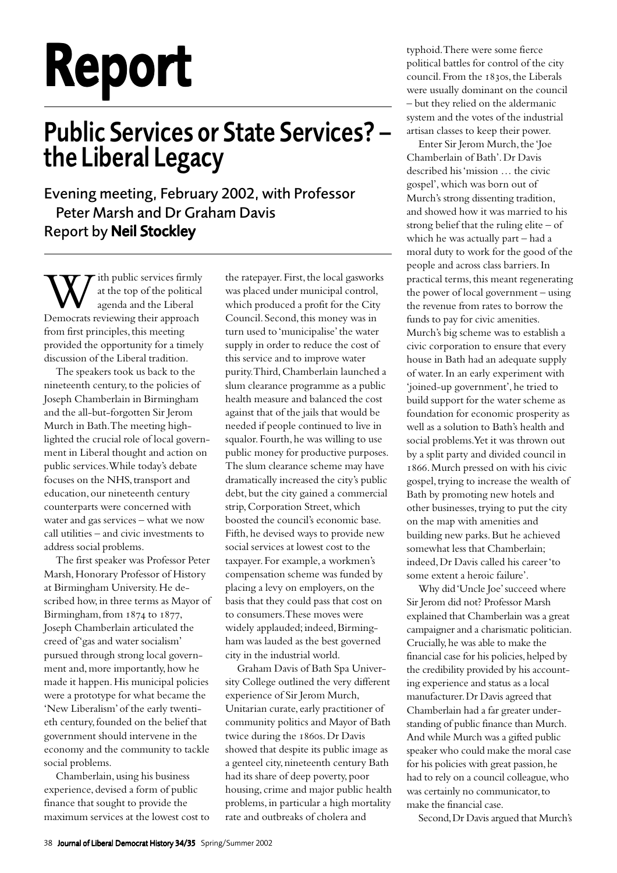## Report

## Public Services or State Services? – the Liberal Legacy

Evening meeting, February 2002, with Professor Peter Marsh and Dr Graham Davis Report by Neil Stockley

With public services firmly<br>at the top of the political<br>Democrats reviewing their approach at the top of the political agenda and the Liberal from first principles, this meeting provided the opportunity for a timely discussion of the Liberal tradition.

The speakers took us back to the nineteenth century, to the policies of Joseph Chamberlain in Birmingham and the all-but-forgotten Sir Jerom Murch in Bath. The meeting highlighted the crucial role of local government in Liberal thought and action on public services. While today's debate focuses on the NHS, transport and education, our nineteenth century counterparts were concerned with water and gas services – what we now call utilities – and civic investments to address social problems.

The first speaker was Professor Peter Marsh, Honorary Professor of History at Birmingham University. He described how, in three terms as Mayor of Birmingham, from  $1874$  to  $1877$ , Joseph Chamberlain articulated the creed of 'gas and water socialism' pursued through strong local government and, more importantly, how he made it happen. His municipal policies were a prototype for what became the 'New Liberalism' of the early twentieth century, founded on the belief that government should intervene in the economy and the community to tackle social problems.

Chamberlain, using his business experience, devised a form of public finance that sought to provide the maximum services at the lowest cost to the ratepayer. First, the local gasworks was placed under municipal control, which produced a profit for the City Council. Second, this money was in turn used to 'municipalise' the water supply in order to reduce the cost of this service and to improve water purity. Third, Chamberlain launched a slum clearance programme as a public health measure and balanced the cost against that of the jails that would be needed if people continued to live in squalor. Fourth, he was willing to use public money for productive purposes. The slum clearance scheme may have dramatically increased the city's public debt, but the city gained a commercial strip, Corporation Street, which boosted the council's economic base. Fifth, he devised ways to provide new social services at lowest cost to the taxpayer. For example, a workmen's compensation scheme was funded by placing a levy on employers, on the basis that they could pass that cost on to consumers. These moves were widely applauded; indeed, Birmingham was lauded as the best governed city in the industrial world.

Graham Davis of Bath Spa University College outlined the very different experience of Sir Jerom Murch, Unitarian curate, early practitioner of community politics and Mayor of Bath twice during the 1860s. Dr Davis showed that despite its public image as a genteel city, nineteenth century Bath had its share of deep poverty, poor housing, crime and major public health problems, in particular a high mortality rate and outbreaks of cholera and

typhoid. There were some fierce political battles for control of the city council. From the 1830s, the Liberals were usually dominant on the council – but they relied on the aldermanic system and the votes of the industrial artisan classes to keep their power.

Enter Sir Jerom Murch, the 'Joe Chamberlain of Bath'. Dr Davis described his 'mission … the civic gospel', which was born out of Murch's strong dissenting tradition, and showed how it was married to his strong belief that the ruling elite – of which he was actually part – had a moral duty to work for the good of the people and across class barriers. In practical terms, this meant regenerating the power of local government – using the revenue from rates to borrow the funds to pay for civic amenities. Murch's big scheme was to establish a civic corporation to ensure that every house in Bath had an adequate supply of water. In an early experiment with 'joined-up government', he tried to build support for the water scheme as foundation for economic prosperity as well as a solution to Bath's health and social problems. Yet it was thrown out by a split party and divided council in 1866. Murch pressed on with his civic gospel, trying to increase the wealth of Bath by promoting new hotels and other businesses, trying to put the city on the map with amenities and building new parks. But he achieved somewhat less that Chamberlain; indeed, Dr Davis called his career 'to some extent a heroic failure'.

Why did 'Uncle Joe' succeed where Sir Jerom did not? Professor Marsh explained that Chamberlain was a great campaigner and a charismatic politician. Crucially, he was able to make the financial case for his policies, helped by the credibility provided by his accounting experience and status as a local manufacturer. Dr Davis agreed that Chamberlain had a far greater understanding of public finance than Murch. And while Murch was a gifted public speaker who could make the moral case for his policies with great passion, he had to rely on a council colleague, who was certainly no communicator, to make the financial case.

Second, Dr Davis argued that Murch's